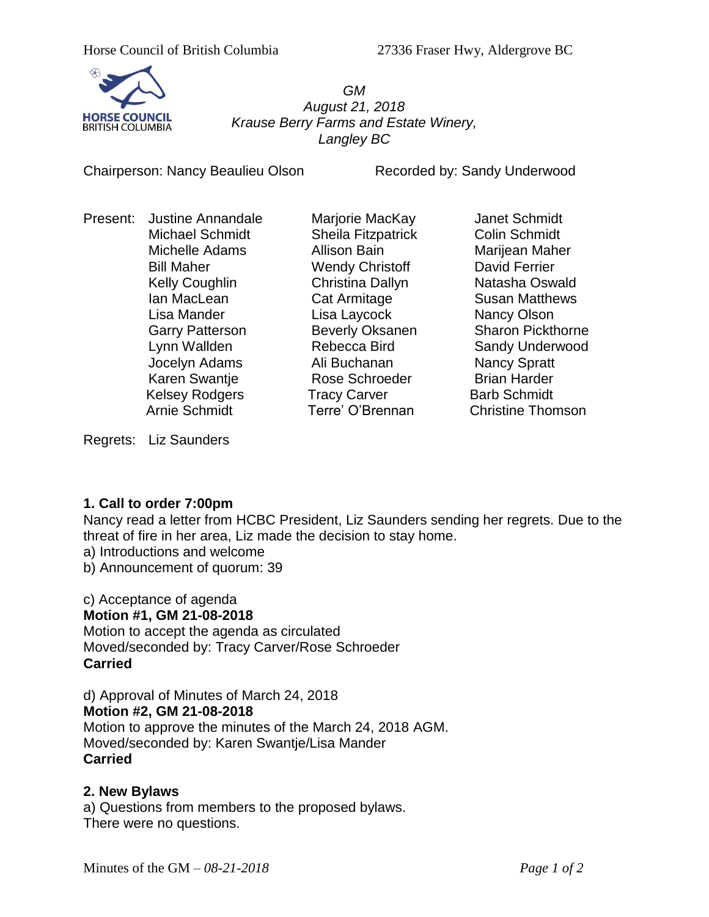

*GM August 21, 2018 Krause Berry Farms and Estate Winery, Langley BC*

Chairperson: Nancy Beaulieu Olson Recorded by: Sandy Underwood

Present: Justine Annandale Marjorie MacKay Janet Schmidt

Michael Schmidt Sheila Fitzpatrick Colin Schmidt Michelle Adams Allison Bain Marijean Maher Bill Maher **Nendy Christoff** David Ferrier Kelly Coughlin **Christina Dallyn** Natasha Oswald Ian MacLean **Cat Armitage** Susan Matthews Lisa Mander Lisa Laycock Nancy Olson Jocelyn Adams **Ali Buchanan** Nancy Spratt Karen Swantie **Rose Schroeder** Brian Harder Kelsey Rodgers **Tracy Carver** Barb Schmidt

Garry Patterson **Beverly Oksanen** Sharon Pickthorne Lynn Wallden Rebecca Bird Sandy Underwood Arnie Schmidt Terre' O'Brennan Christine Thomson

Regrets: Liz Saunders

## **1. Call to order 7:00pm**

Nancy read a letter from HCBC President, Liz Saunders sending her regrets. Due to the threat of fire in her area, Liz made the decision to stay home.

a) Introductions and welcome

b) Announcement of quorum: 39

#### c) Acceptance of agenda **Motion #1, GM 21-08-2018**

Motion to accept the agenda as circulated Moved/seconded by: Tracy Carver/Rose Schroeder **Carried**

d) Approval of Minutes of March 24, 2018

## **Motion #2, GM 21-08-2018**

Motion to approve the minutes of the March 24, 2018 AGM. Moved/seconded by: Karen Swantje/Lisa Mander **Carried**

## **2. New Bylaws**

a) Questions from members to the proposed bylaws. There were no questions.